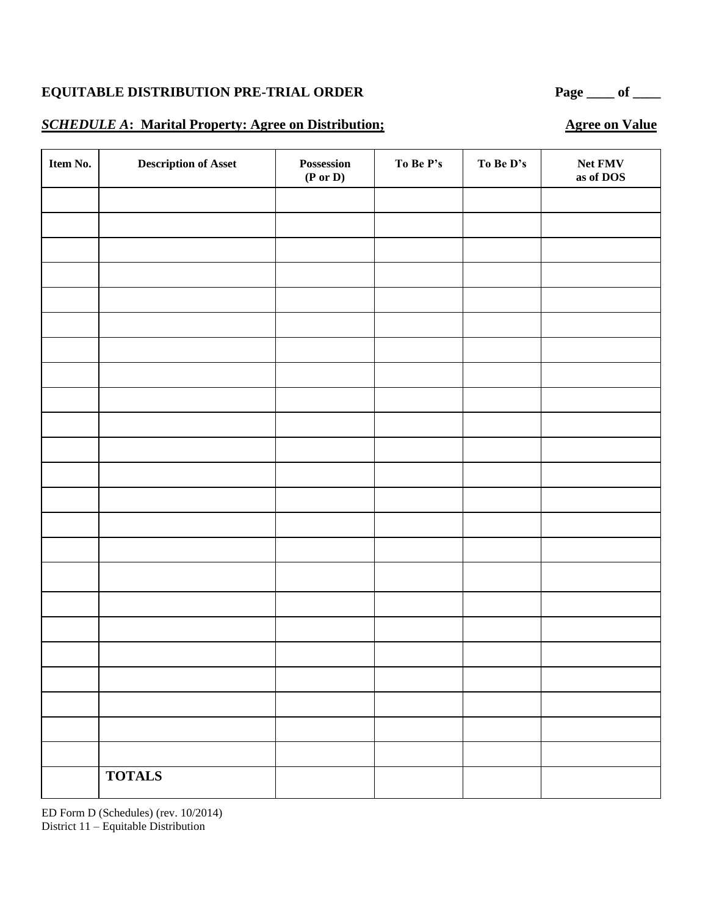#### **SCHEDULE A**: Marital Property: Agree on Distribution; Agree on Value

**Item No. Description of Asset Possession (P or D)** To Be P's To Be D's Net FMV **as of DOS TOTALS**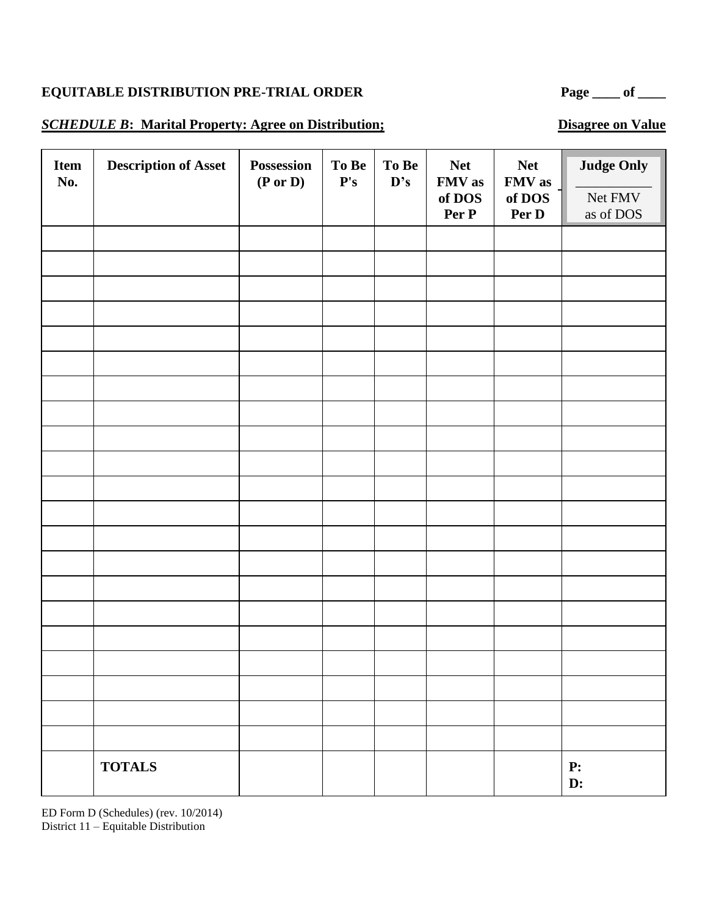#### **SCHEDULE B:** Marital Property: Agree on Distribution; Disagree on Value

| <b>Item</b><br>No. | <b>Description of Asset</b> | Possession<br>$(P \text{ or } D)$ | To Be<br>$\mathbf{P}'\mathbf{s}$ | To Be<br>D's | <b>Net</b><br>FMV as<br>of DOS<br>Per P | <b>Net</b><br>FMV as<br>of DOS<br>Per D | <b>Judge Only</b><br>Net FMV<br>as of DOS |
|--------------------|-----------------------------|-----------------------------------|----------------------------------|--------------|-----------------------------------------|-----------------------------------------|-------------------------------------------|
|                    |                             |                                   |                                  |              |                                         |                                         |                                           |
|                    |                             |                                   |                                  |              |                                         |                                         |                                           |
|                    |                             |                                   |                                  |              |                                         |                                         |                                           |
|                    |                             |                                   |                                  |              |                                         |                                         |                                           |
|                    |                             |                                   |                                  |              |                                         |                                         |                                           |
|                    |                             |                                   |                                  |              |                                         |                                         |                                           |
|                    |                             |                                   |                                  |              |                                         |                                         |                                           |
|                    |                             |                                   |                                  |              |                                         |                                         |                                           |
|                    |                             |                                   |                                  |              |                                         |                                         |                                           |
|                    |                             |                                   |                                  |              |                                         |                                         |                                           |
|                    |                             |                                   |                                  |              |                                         |                                         |                                           |
|                    |                             |                                   |                                  |              |                                         |                                         |                                           |
|                    |                             |                                   |                                  |              |                                         |                                         |                                           |
|                    |                             |                                   |                                  |              |                                         |                                         |                                           |
|                    |                             |                                   |                                  |              |                                         |                                         |                                           |
|                    |                             |                                   |                                  |              |                                         |                                         |                                           |
|                    |                             |                                   |                                  |              |                                         |                                         |                                           |
|                    |                             |                                   |                                  |              |                                         |                                         |                                           |
|                    |                             |                                   |                                  |              |                                         |                                         |                                           |
|                    |                             |                                   |                                  |              |                                         |                                         |                                           |
|                    | <b>TOTALS</b>               |                                   |                                  |              |                                         |                                         | ${\bf P:}$<br>$\mathbf{D}$ :              |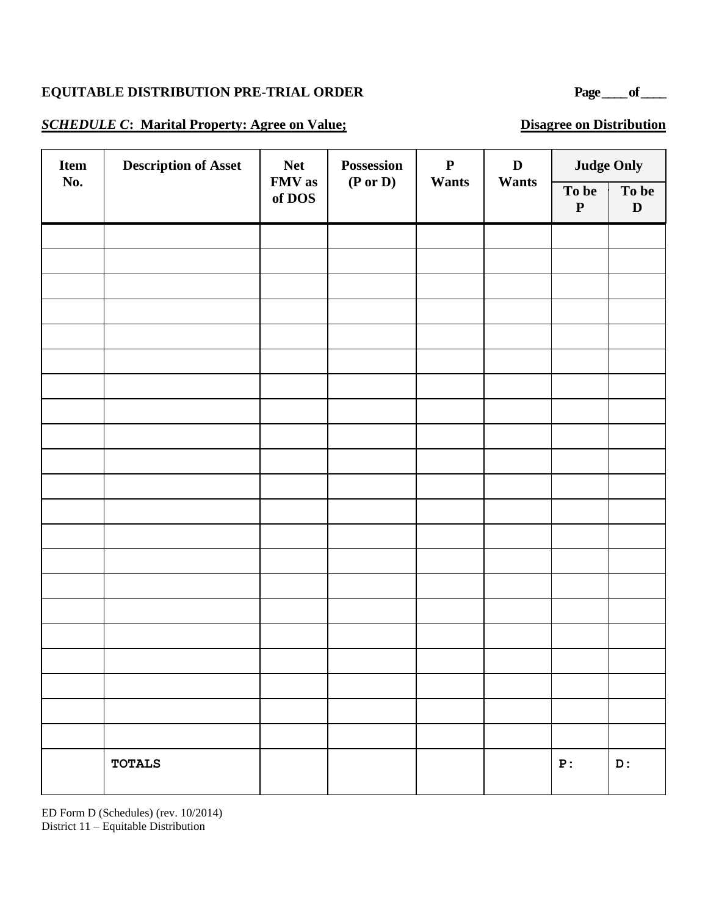# **EQUITABLE DISTRIBUTION PRE-TRIAL ORDER** Page of <u>equal</u> of  $\frac{1}{2}$

#### **SCHEDULE C:** Marital Property: Agree on Value; Disagree on Distribution

| Item | <b>Description of Asset</b> | <b>Net</b>       | Possession | ${\bf P}$ | $\mathbf D$ | <b>Judge Only</b>  |            |
|------|-----------------------------|------------------|------------|-----------|-------------|--------------------|------------|
| No.  |                             | FMV as<br>of DOS | (P or D)   | Wants     | Wants       | To be<br>${\bf P}$ | To be<br>D |
|      |                             |                  |            |           |             |                    |            |
|      |                             |                  |            |           |             |                    |            |
|      |                             |                  |            |           |             |                    |            |
|      |                             |                  |            |           |             |                    |            |
|      |                             |                  |            |           |             |                    |            |
|      |                             |                  |            |           |             |                    |            |
|      |                             |                  |            |           |             |                    |            |
|      |                             |                  |            |           |             |                    |            |
|      |                             |                  |            |           |             |                    |            |
|      |                             |                  |            |           |             |                    |            |
|      |                             |                  |            |           |             |                    |            |
|      |                             |                  |            |           |             |                    |            |
|      |                             |                  |            |           |             |                    |            |
|      |                             |                  |            |           |             |                    |            |
|      |                             |                  |            |           |             |                    |            |
|      |                             |                  |            |           |             |                    |            |
|      |                             |                  |            |           |             |                    |            |
|      |                             |                  |            |           |             |                    |            |
|      |                             |                  |            |           |             |                    |            |
|      |                             |                  |            |           |             |                    |            |
|      |                             |                  |            |           |             |                    |            |
|      | <b>TOTALS</b>               |                  |            |           |             | P:                 | D:         |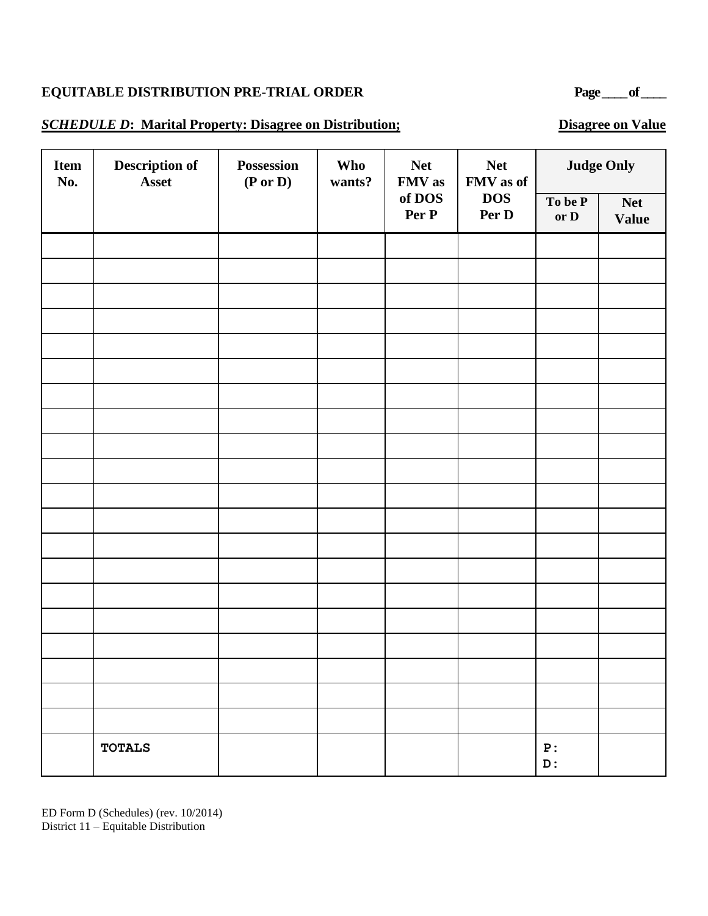# **EQUITABLE DISTRIBUTION PRE-TRIAL ORDER** Page of <u>equal</u> of  $\frac{1}{2}$

#### **SCHEDULE D:** Marital Property: Disagree on Distribution; Disagree on Value

| <b>Item</b><br>No. | Description of<br>Asset | Possession<br>(P or D) | Who<br>wants? | <b>Net</b><br>FMV as | <b>Net</b><br>FMV as of | <b>Judge Only</b> |                            |  |
|--------------------|-------------------------|------------------------|---------------|----------------------|-------------------------|-------------------|----------------------------|--|
|                    |                         |                        |               | of DOS<br>Per P      | <b>DOS</b><br>Per D     | To be P<br>or D   | <b>Net</b><br><b>Value</b> |  |
|                    |                         |                        |               |                      |                         |                   |                            |  |
|                    |                         |                        |               |                      |                         |                   |                            |  |
|                    |                         |                        |               |                      |                         |                   |                            |  |
|                    |                         |                        |               |                      |                         |                   |                            |  |
|                    |                         |                        |               |                      |                         |                   |                            |  |
|                    |                         |                        |               |                      |                         |                   |                            |  |
|                    |                         |                        |               |                      |                         |                   |                            |  |
|                    |                         |                        |               |                      |                         |                   |                            |  |
|                    |                         |                        |               |                      |                         |                   |                            |  |
|                    |                         |                        |               |                      |                         |                   |                            |  |
|                    |                         |                        |               |                      |                         |                   |                            |  |
|                    |                         |                        |               |                      |                         |                   |                            |  |
|                    |                         |                        |               |                      |                         |                   |                            |  |
|                    |                         |                        |               |                      |                         |                   |                            |  |
|                    |                         |                        |               |                      |                         |                   |                            |  |
|                    |                         |                        |               |                      |                         |                   |                            |  |
|                    |                         |                        |               |                      |                         |                   |                            |  |
|                    |                         |                        |               |                      |                         |                   |                            |  |
|                    | <b>TOTALS</b>           |                        |               |                      |                         | ${\bf P}$ :<br>D: |                            |  |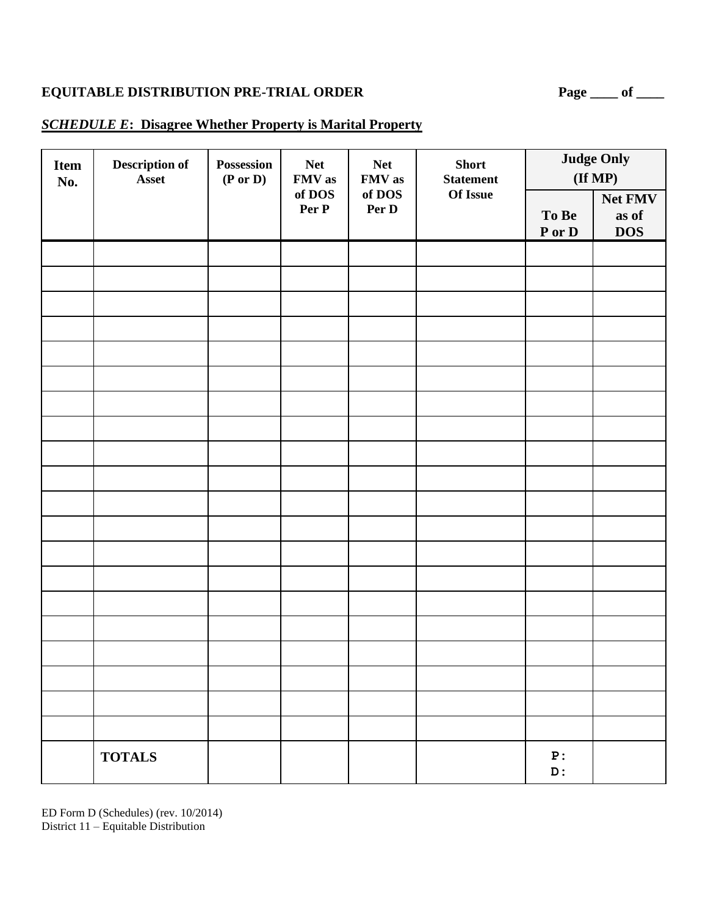#### *SCHEDULE E***: Disagree Whether Property is Marital Property**

| <b>Item</b><br>No. | Description of<br>Asset | Possession<br>$(P \text{ or } D)$ | <b>Net</b><br>FMV as<br>of DOS<br>Per P | <b>Net</b><br>FMV as<br>of DOS<br>Per D | <b>Short</b><br><b>Statement</b> |                                 | <b>Judge Only</b><br>$(\text{If MP})$ |
|--------------------|-------------------------|-----------------------------------|-----------------------------------------|-----------------------------------------|----------------------------------|---------------------------------|---------------------------------------|
|                    |                         |                                   |                                         |                                         | Of Issue                         | To Be<br>${\bf P}$ or ${\bf D}$ | Net FMV<br>as of<br><b>DOS</b>        |
|                    |                         |                                   |                                         |                                         |                                  |                                 |                                       |
|                    |                         |                                   |                                         |                                         |                                  |                                 |                                       |
|                    |                         |                                   |                                         |                                         |                                  |                                 |                                       |
|                    |                         |                                   |                                         |                                         |                                  |                                 |                                       |
|                    |                         |                                   |                                         |                                         |                                  |                                 |                                       |
|                    |                         |                                   |                                         |                                         |                                  |                                 |                                       |
|                    |                         |                                   |                                         |                                         |                                  |                                 |                                       |
|                    |                         |                                   |                                         |                                         |                                  |                                 |                                       |
|                    |                         |                                   |                                         |                                         |                                  |                                 |                                       |
|                    |                         |                                   |                                         |                                         |                                  |                                 |                                       |
|                    |                         |                                   |                                         |                                         |                                  |                                 |                                       |
|                    |                         |                                   |                                         |                                         |                                  |                                 |                                       |
|                    |                         |                                   |                                         |                                         |                                  |                                 |                                       |
|                    |                         |                                   |                                         |                                         |                                  |                                 |                                       |
|                    |                         |                                   |                                         |                                         |                                  |                                 |                                       |
|                    |                         |                                   |                                         |                                         |                                  |                                 |                                       |
|                    |                         |                                   |                                         |                                         |                                  |                                 |                                       |
|                    | <b>TOTALS</b>           |                                   |                                         |                                         |                                  | ${\bf P}$ :<br>${\tt D}$ :      |                                       |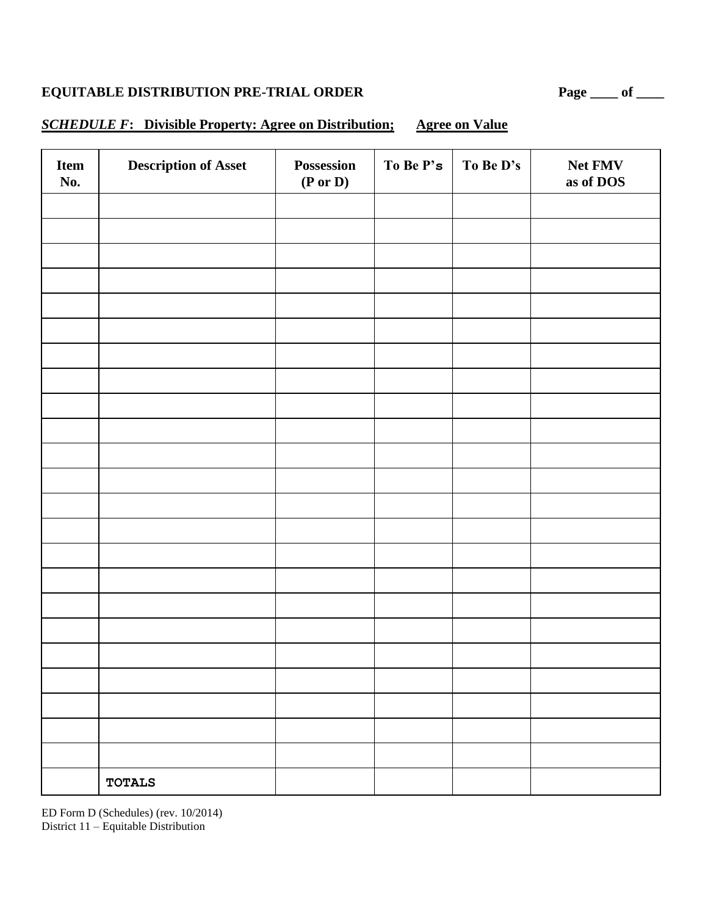## *SCHEDULE F***: Divisible Property: Agree on Distribution; Agree on Value**

| Item<br>No. | <b>Description of Asset</b> | Possession<br>$(P \text{ or } D)$ | To Be P's | To Be D's | Net FMV<br>as of DOS |
|-------------|-----------------------------|-----------------------------------|-----------|-----------|----------------------|
|             |                             |                                   |           |           |                      |
|             |                             |                                   |           |           |                      |
|             |                             |                                   |           |           |                      |
|             |                             |                                   |           |           |                      |
|             |                             |                                   |           |           |                      |
|             |                             |                                   |           |           |                      |
|             |                             |                                   |           |           |                      |
|             |                             |                                   |           |           |                      |
|             |                             |                                   |           |           |                      |
|             |                             |                                   |           |           |                      |
|             |                             |                                   |           |           |                      |
|             |                             |                                   |           |           |                      |
|             |                             |                                   |           |           |                      |
|             |                             |                                   |           |           |                      |
|             |                             |                                   |           |           |                      |
|             |                             |                                   |           |           |                      |
|             |                             |                                   |           |           |                      |
|             |                             |                                   |           |           |                      |
|             |                             |                                   |           |           |                      |
|             |                             |                                   |           |           |                      |
|             |                             |                                   |           |           |                      |
|             |                             |                                   |           |           |                      |
|             |                             |                                   |           |           |                      |
|             | <b>TOTALS</b>               |                                   |           |           |                      |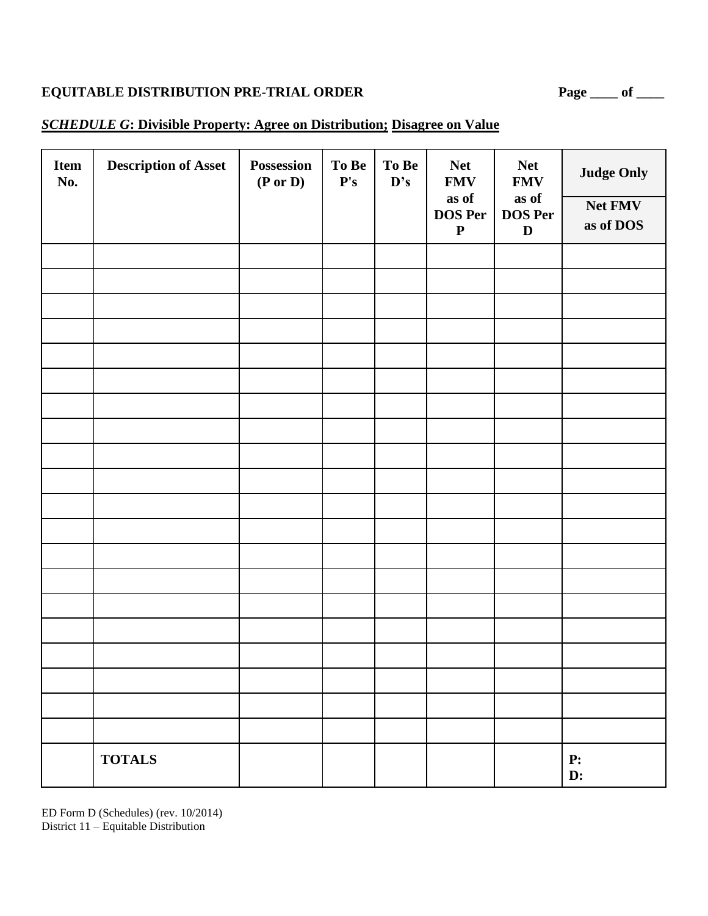#### *SCHEDULE G***: Divisible Property: Agree on Distribution; Disagree on Value**

| <b>Item</b><br>No. | <b>Description of Asset</b> | Possession<br>$(P \text{ or } D)$ | To Be<br>$\mathbf{P}'\mathbf{s}$ | To Be<br>$\mathbf{D}$ 's | <b>Net</b><br><b>FMV</b><br>as of<br><b>DOS Per</b><br>${\bf P}$ | <b>Net</b><br><b>FMV</b><br>as of<br><b>DOS Per</b><br>$\mathbf D$ | <b>Judge Only</b><br>Net FMV<br>as of DOS |
|--------------------|-----------------------------|-----------------------------------|----------------------------------|--------------------------|------------------------------------------------------------------|--------------------------------------------------------------------|-------------------------------------------|
|                    |                             |                                   |                                  |                          |                                                                  |                                                                    |                                           |
|                    |                             |                                   |                                  |                          |                                                                  |                                                                    |                                           |
|                    |                             |                                   |                                  |                          |                                                                  |                                                                    |                                           |
|                    |                             |                                   |                                  |                          |                                                                  |                                                                    |                                           |
|                    |                             |                                   |                                  |                          |                                                                  |                                                                    |                                           |
|                    |                             |                                   |                                  |                          |                                                                  |                                                                    |                                           |
|                    |                             |                                   |                                  |                          |                                                                  |                                                                    |                                           |
|                    |                             |                                   |                                  |                          |                                                                  |                                                                    |                                           |
|                    |                             |                                   |                                  |                          |                                                                  |                                                                    |                                           |
|                    |                             |                                   |                                  |                          |                                                                  |                                                                    |                                           |
|                    |                             |                                   |                                  |                          |                                                                  |                                                                    |                                           |
|                    |                             |                                   |                                  |                          |                                                                  |                                                                    |                                           |
|                    |                             |                                   |                                  |                          |                                                                  |                                                                    |                                           |
|                    |                             |                                   |                                  |                          |                                                                  |                                                                    |                                           |
|                    |                             |                                   |                                  |                          |                                                                  |                                                                    |                                           |
|                    |                             |                                   |                                  |                          |                                                                  |                                                                    |                                           |
|                    |                             |                                   |                                  |                          |                                                                  |                                                                    |                                           |
|                    |                             |                                   |                                  |                          |                                                                  |                                                                    |                                           |
|                    | <b>TOTALS</b>               |                                   |                                  |                          |                                                                  |                                                                    | P:<br>D:                                  |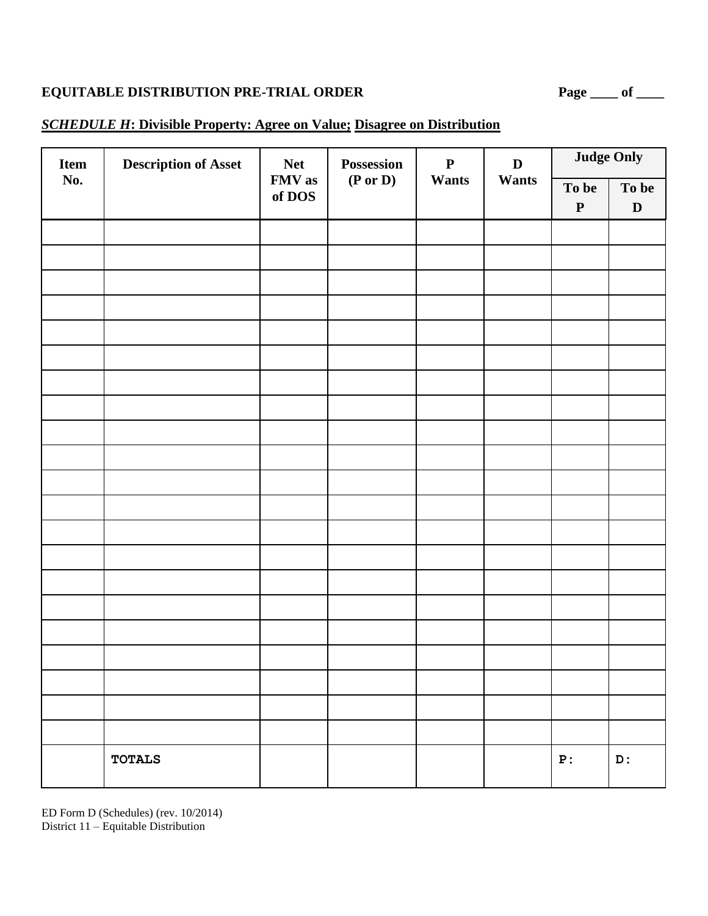#### *SCHEDULE H***: Divisible Property: Agree on Value; Disagree on Distribution**

| Item | <b>Description of Asset</b> | <b>Net</b>       | Possession          | $\mathbf P$  | $\mathbf D$ |                    | <b>Judge Only</b>    |
|------|-----------------------------|------------------|---------------------|--------------|-------------|--------------------|----------------------|
| No.  |                             | FMV as<br>of DOS | $(P \text{ or } D)$ | <b>Wants</b> | Wants       | To be<br>${\bf P}$ | To be<br>$\mathbf D$ |
|      |                             |                  |                     |              |             |                    |                      |
|      |                             |                  |                     |              |             |                    |                      |
|      |                             |                  |                     |              |             |                    |                      |
|      |                             |                  |                     |              |             |                    |                      |
|      |                             |                  |                     |              |             |                    |                      |
|      |                             |                  |                     |              |             |                    |                      |
|      |                             |                  |                     |              |             |                    |                      |
|      |                             |                  |                     |              |             |                    |                      |
|      |                             |                  |                     |              |             |                    |                      |
|      |                             |                  |                     |              |             |                    |                      |
|      |                             |                  |                     |              |             |                    |                      |
|      |                             |                  |                     |              |             |                    |                      |
|      |                             |                  |                     |              |             |                    |                      |
|      |                             |                  |                     |              |             |                    |                      |
|      |                             |                  |                     |              |             |                    |                      |
|      |                             |                  |                     |              |             |                    |                      |
|      |                             |                  |                     |              |             |                    |                      |
|      |                             |                  |                     |              |             |                    |                      |
|      |                             |                  |                     |              |             |                    |                      |
|      |                             |                  |                     |              |             |                    |                      |
|      | <b>TOTALS</b>               |                  |                     |              |             | ${\bf P}$ :        | D:                   |

ED Form D (Schedules) (rev. 10/2014) District 11 – Equitable Distribution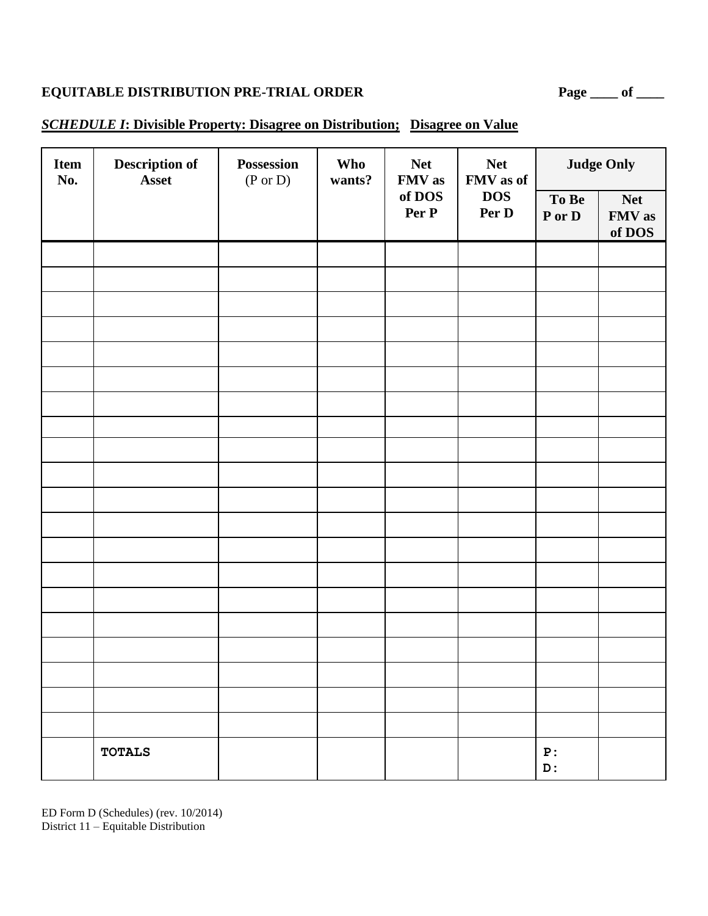### *SCHEDULE I***: Divisible Property: Disagree on Distribution; Disagree on Value**

| <b>Item</b><br>No. | <b>Description of</b><br>Asset | Possession<br>$(P \text{ or } D)$ | <b>Who</b><br>wants? | <b>Net</b><br>FMV as | <b>Net</b><br>FMV as of |                   | <b>Judge Only</b>              |
|--------------------|--------------------------------|-----------------------------------|----------------------|----------------------|-------------------------|-------------------|--------------------------------|
|                    |                                |                                   |                      | of DOS<br>Per P      | <b>DOS</b><br>Per D     | To Be<br>P or D   | <b>Net</b><br>FMV as<br>of DOS |
|                    |                                |                                   |                      |                      |                         |                   |                                |
|                    |                                |                                   |                      |                      |                         |                   |                                |
|                    |                                |                                   |                      |                      |                         |                   |                                |
|                    |                                |                                   |                      |                      |                         |                   |                                |
|                    |                                |                                   |                      |                      |                         |                   |                                |
|                    |                                |                                   |                      |                      |                         |                   |                                |
|                    |                                |                                   |                      |                      |                         |                   |                                |
|                    |                                |                                   |                      |                      |                         |                   |                                |
|                    |                                |                                   |                      |                      |                         |                   |                                |
|                    |                                |                                   |                      |                      |                         |                   |                                |
|                    |                                |                                   |                      |                      |                         |                   |                                |
|                    |                                |                                   |                      |                      |                         |                   |                                |
|                    |                                |                                   |                      |                      |                         |                   |                                |
|                    |                                |                                   |                      |                      |                         |                   |                                |
|                    |                                |                                   |                      |                      |                         |                   |                                |
|                    |                                |                                   |                      |                      |                         |                   |                                |
|                    |                                |                                   |                      |                      |                         |                   |                                |
|                    |                                |                                   |                      |                      |                         |                   |                                |
|                    | <b>TOTALS</b>                  |                                   |                      |                      |                         | ${\bf P}$ :<br>D: |                                |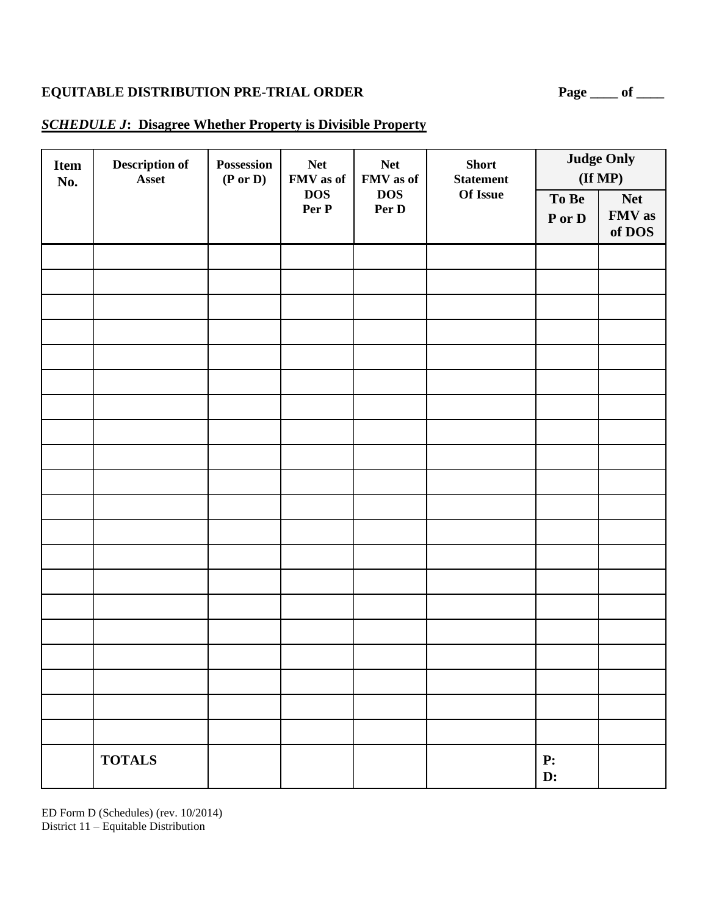#### *SCHEDULE J***: Disagree Whether Property is Divisible Property**

| <b>Item</b><br>No. | Description of<br>Asset | Possession<br>$(P \text{ or } D)$ | <b>Net</b><br>FMV as of | <b>Net</b><br>FMV as of | <b>Short</b><br><b>Statement</b> |                      | <b>Judge Only</b><br>$(\mathbf{If MP})$ |
|--------------------|-------------------------|-----------------------------------|-------------------------|-------------------------|----------------------------------|----------------------|-----------------------------------------|
|                    |                         |                                   | <b>DOS</b><br>Per P     | <b>DOS</b><br>Per D     | Of Issue                         | To Be<br>P or D      | <b>Net</b><br>FMV as<br>of DOS          |
|                    |                         |                                   |                         |                         |                                  |                      |                                         |
|                    |                         |                                   |                         |                         |                                  |                      |                                         |
|                    |                         |                                   |                         |                         |                                  |                      |                                         |
|                    |                         |                                   |                         |                         |                                  |                      |                                         |
|                    |                         |                                   |                         |                         |                                  |                      |                                         |
|                    |                         |                                   |                         |                         |                                  |                      |                                         |
|                    |                         |                                   |                         |                         |                                  |                      |                                         |
|                    |                         |                                   |                         |                         |                                  |                      |                                         |
|                    |                         |                                   |                         |                         |                                  |                      |                                         |
|                    |                         |                                   |                         |                         |                                  |                      |                                         |
|                    |                         |                                   |                         |                         |                                  |                      |                                         |
|                    |                         |                                   |                         |                         |                                  |                      |                                         |
|                    |                         |                                   |                         |                         |                                  |                      |                                         |
|                    |                         |                                   |                         |                         |                                  |                      |                                         |
|                    |                         |                                   |                         |                         |                                  |                      |                                         |
|                    |                         |                                   |                         |                         |                                  |                      |                                         |
|                    |                         |                                   |                         |                         |                                  |                      |                                         |
|                    |                         |                                   |                         |                         |                                  |                      |                                         |
|                    |                         |                                   |                         |                         |                                  |                      |                                         |
|                    | <b>TOTALS</b>           |                                   |                         |                         |                                  | P:<br>$\mathbf{D}$ : |                                         |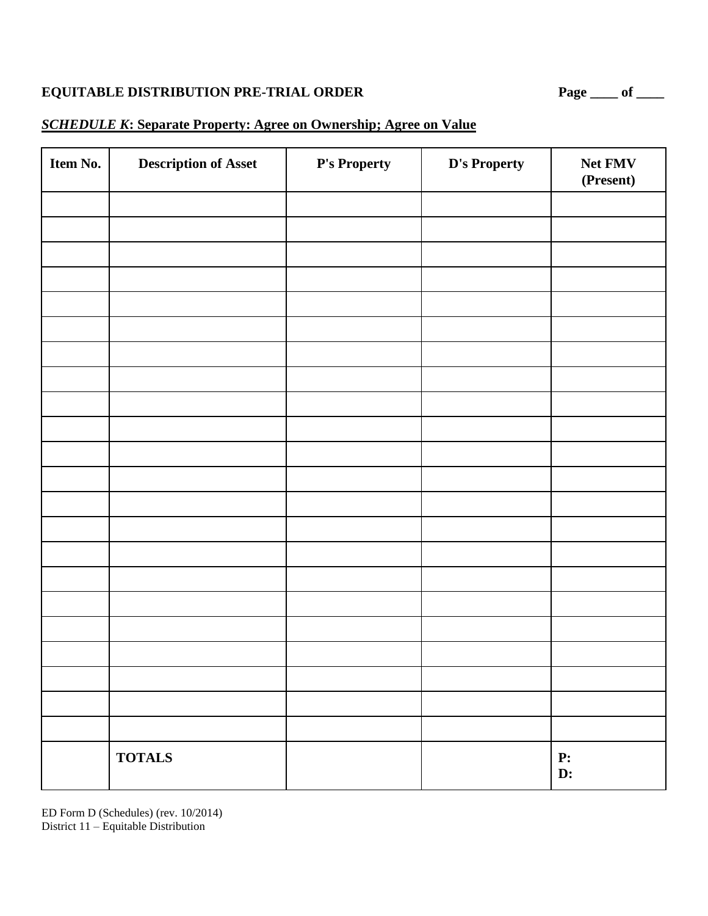#### *SCHEDULE K***: Separate Property: Agree on Ownership; Agree on Value**

| Item No. | <b>Description of Asset</b> | P's Property | D's Property | Net FMV<br>(Present)   |
|----------|-----------------------------|--------------|--------------|------------------------|
|          |                             |              |              |                        |
|          |                             |              |              |                        |
|          |                             |              |              |                        |
|          |                             |              |              |                        |
|          |                             |              |              |                        |
|          |                             |              |              |                        |
|          |                             |              |              |                        |
|          |                             |              |              |                        |
|          |                             |              |              |                        |
|          |                             |              |              |                        |
|          |                             |              |              |                        |
|          |                             |              |              |                        |
|          |                             |              |              |                        |
|          |                             |              |              |                        |
|          |                             |              |              |                        |
|          |                             |              |              |                        |
|          |                             |              |              |                        |
|          |                             |              |              |                        |
|          |                             |              |              |                        |
|          |                             |              |              |                        |
|          |                             |              |              |                        |
|          | <b>TOTALS</b>               |              |              | <b>P:</b><br><b>D:</b> |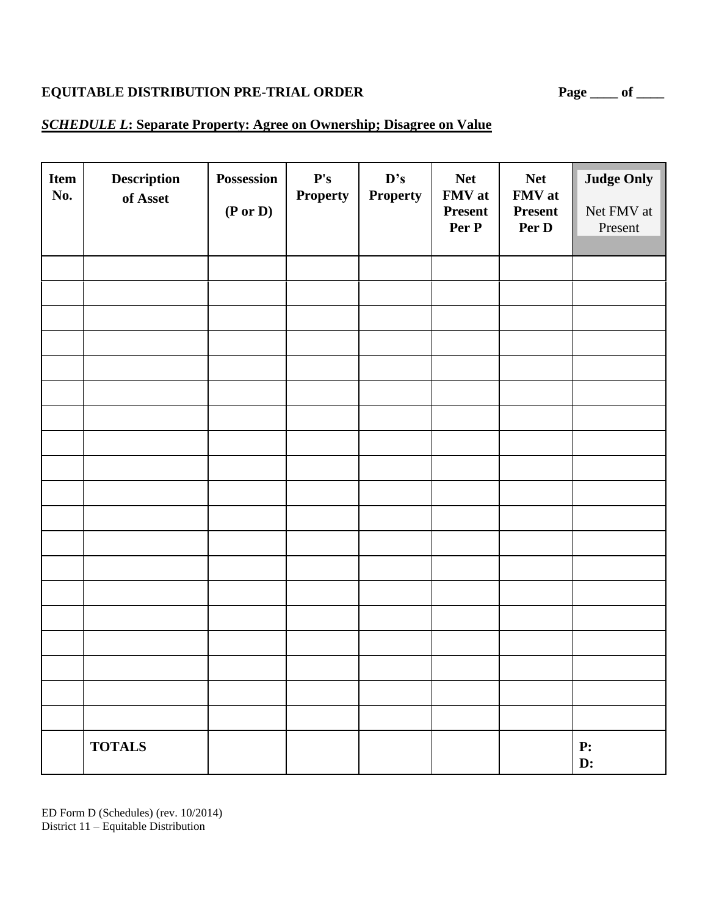#### *SCHEDULE L***: Separate Property: Agree on Ownership; Disagree on Value**

| <b>Item</b><br>No. | Description<br>of Asset | Possession<br>(P or D) | $\mathbf{P's}$<br><b>Property</b> | D's<br><b>Property</b> | <b>Net</b><br>FMV at<br><b>Present</b><br>Per P | <b>Net</b><br>FMV at<br><b>Present</b><br>Per D | <b>Judge Only</b><br>Net FMV at<br>Present |
|--------------------|-------------------------|------------------------|-----------------------------------|------------------------|-------------------------------------------------|-------------------------------------------------|--------------------------------------------|
|                    |                         |                        |                                   |                        |                                                 |                                                 |                                            |
|                    |                         |                        |                                   |                        |                                                 |                                                 |                                            |
|                    |                         |                        |                                   |                        |                                                 |                                                 |                                            |
|                    |                         |                        |                                   |                        |                                                 |                                                 |                                            |
|                    |                         |                        |                                   |                        |                                                 |                                                 |                                            |
|                    |                         |                        |                                   |                        |                                                 |                                                 |                                            |
|                    |                         |                        |                                   |                        |                                                 |                                                 |                                            |
|                    |                         |                        |                                   |                        |                                                 |                                                 |                                            |
|                    |                         |                        |                                   |                        |                                                 |                                                 |                                            |
|                    |                         |                        |                                   |                        |                                                 |                                                 |                                            |
|                    |                         |                        |                                   |                        |                                                 |                                                 |                                            |
|                    |                         |                        |                                   |                        |                                                 |                                                 |                                            |
|                    |                         |                        |                                   |                        |                                                 |                                                 |                                            |
|                    |                         |                        |                                   |                        |                                                 |                                                 |                                            |
|                    |                         |                        |                                   |                        |                                                 |                                                 |                                            |
|                    |                         |                        |                                   |                        |                                                 |                                                 |                                            |
|                    |                         |                        |                                   |                        |                                                 |                                                 |                                            |
|                    | <b>TOTALS</b>           |                        |                                   |                        |                                                 |                                                 | P:<br>D:                                   |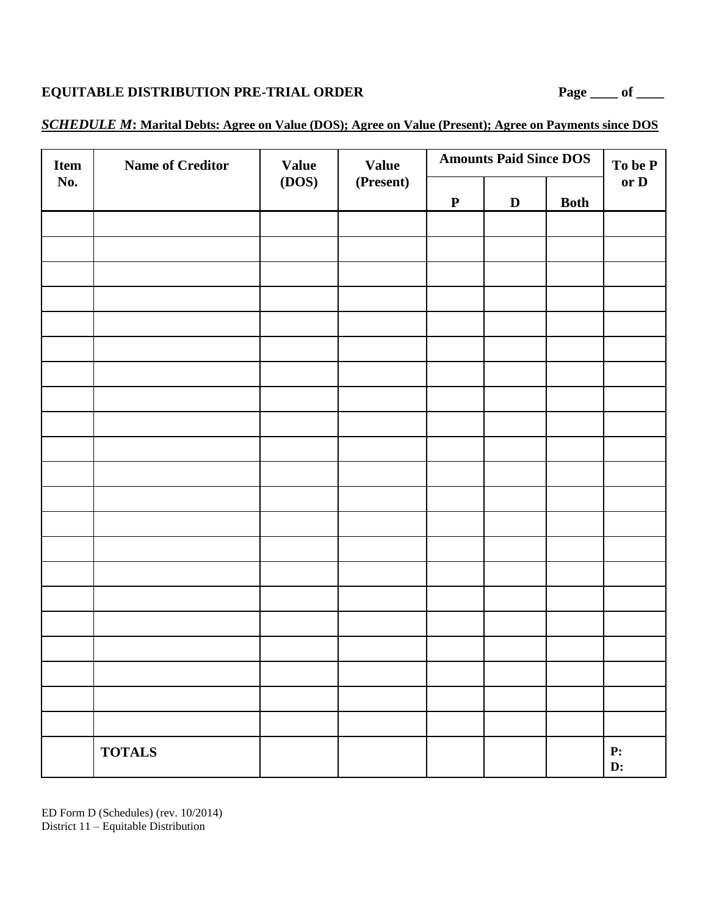| Item | <b>Name of Creditor</b> | <b>Value</b> | <b>Value</b> | <b>Amounts Paid Since DOS</b> | To be P     |             |                  |
|------|-------------------------|--------------|--------------|-------------------------------|-------------|-------------|------------------|
| No.  |                         | (DOS)        | (Present)    | $\mathbf P$                   | $\mathbf D$ | <b>Both</b> | or D             |
|      |                         |              |              |                               |             |             |                  |
|      |                         |              |              |                               |             |             |                  |
|      |                         |              |              |                               |             |             |                  |
|      |                         |              |              |                               |             |             |                  |
|      |                         |              |              |                               |             |             |                  |
|      |                         |              |              |                               |             |             |                  |
|      |                         |              |              |                               |             |             |                  |
|      |                         |              |              |                               |             |             |                  |
|      |                         |              |              |                               |             |             |                  |
|      |                         |              |              |                               |             |             |                  |
|      |                         |              |              |                               |             |             |                  |
|      |                         |              |              |                               |             |             |                  |
|      |                         |              |              |                               |             |             |                  |
|      |                         |              |              |                               |             |             |                  |
|      |                         |              |              |                               |             |             |                  |
|      |                         |              |              |                               |             |             |                  |
|      |                         |              |              |                               |             |             |                  |
|      |                         |              |              |                               |             |             |                  |
|      |                         |              |              |                               |             |             |                  |
|      |                         |              |              |                               |             |             |                  |
|      |                         |              |              |                               |             |             |                  |
|      | <b>TOTALS</b>           |              |              |                               |             |             | ${\bf P:}$<br>D: |

#### *SCHEDULE M***: Marital Debts: Agree on Value (DOS); Agree on Value (Present); Agree on Payments since DOS**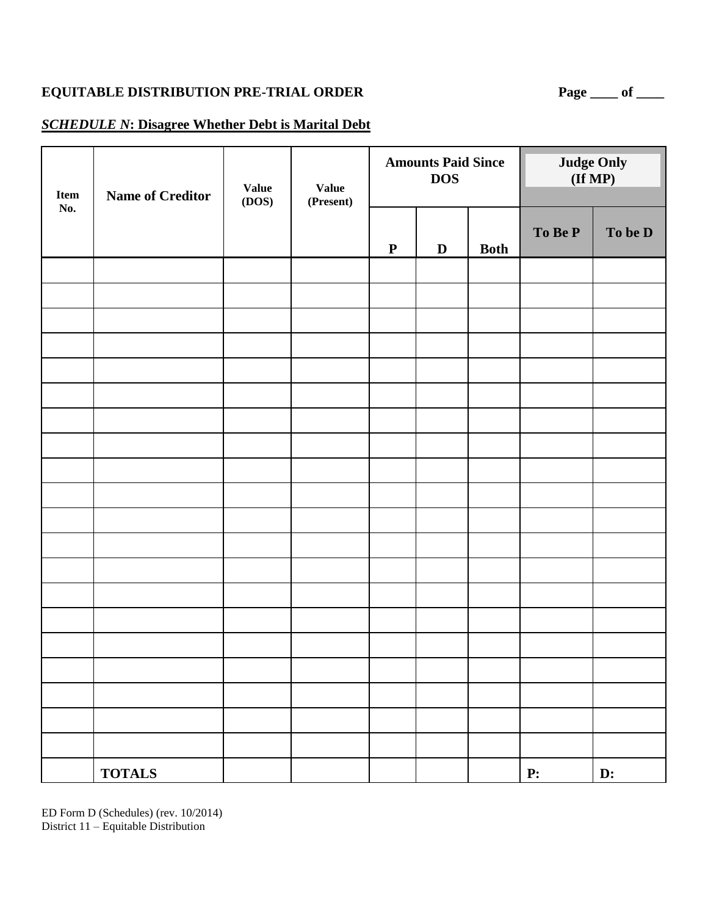#### *SCHEDULE N***: Disagree Whether Debt is Marital Debt**

| Item<br>No. | <b>Name of Creditor</b> | <b>Value</b><br>(DOS) | <b>Value</b><br>(Present) | <b>Amounts Paid Since</b><br><b>DOS</b> |             |             | <b>Judge Only</b><br>$(\mathbf{If MP})$ |                |
|-------------|-------------------------|-----------------------|---------------------------|-----------------------------------------|-------------|-------------|-----------------------------------------|----------------|
|             |                         |                       |                           | $\mathbf P$                             | $\mathbf D$ | <b>Both</b> | To Be P                                 | To be D        |
|             |                         |                       |                           |                                         |             |             |                                         |                |
|             |                         |                       |                           |                                         |             |             |                                         |                |
|             |                         |                       |                           |                                         |             |             |                                         |                |
|             |                         |                       |                           |                                         |             |             |                                         |                |
|             |                         |                       |                           |                                         |             |             |                                         |                |
|             |                         |                       |                           |                                         |             |             |                                         |                |
|             |                         |                       |                           |                                         |             |             |                                         |                |
|             |                         |                       |                           |                                         |             |             |                                         |                |
|             |                         |                       |                           |                                         |             |             |                                         |                |
|             |                         |                       |                           |                                         |             |             |                                         |                |
|             |                         |                       |                           |                                         |             |             |                                         |                |
|             |                         |                       |                           |                                         |             |             |                                         |                |
|             |                         |                       |                           |                                         |             |             |                                         |                |
|             |                         |                       |                           |                                         |             |             |                                         |                |
|             |                         |                       |                           |                                         |             |             |                                         |                |
|             |                         |                       |                           |                                         |             |             |                                         |                |
|             |                         |                       |                           |                                         |             |             |                                         |                |
|             |                         |                       |                           |                                         |             |             |                                         |                |
|             |                         |                       |                           |                                         |             |             |                                         |                |
|             |                         |                       |                           |                                         |             |             |                                         |                |
|             | <b>TOTALS</b>           |                       |                           |                                         |             |             | ${\bf P}$ :                             | $\mathbf{D}$ : |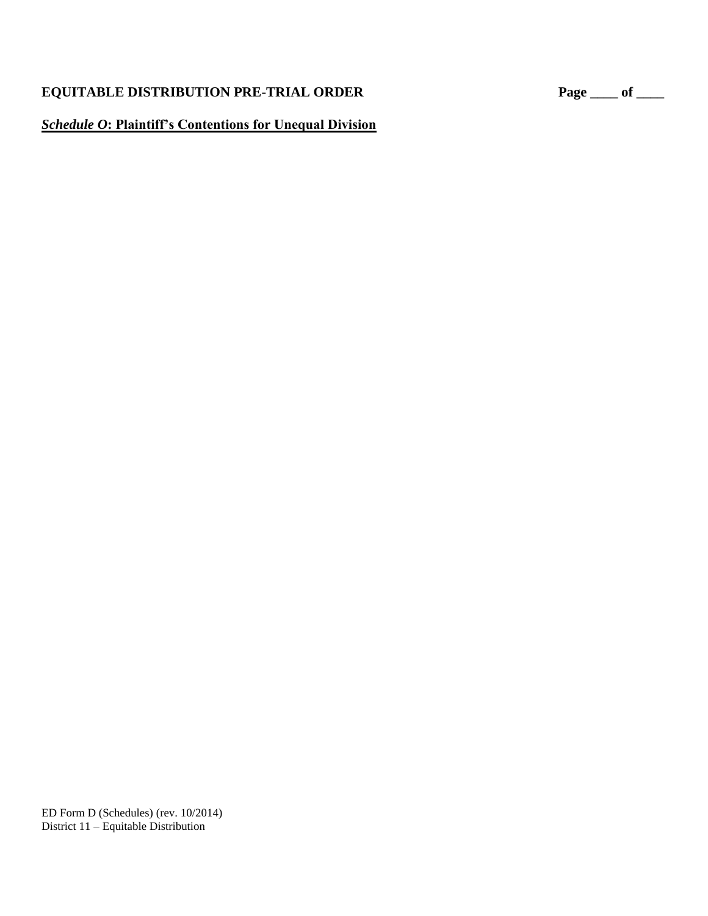#### *Schedule O***: Plaintiff's Contentions for Unequal Division**